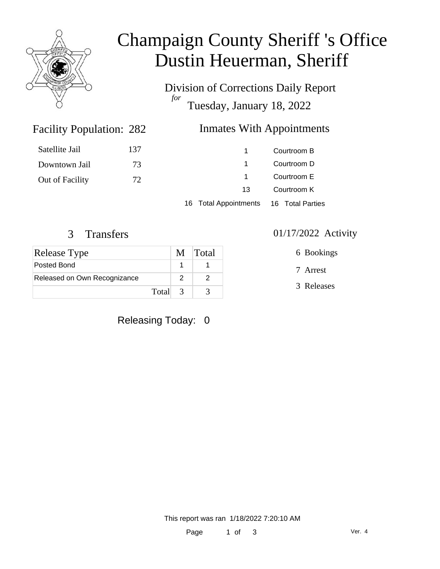

# Champaign County Sheriff 's Office Dustin Heuerman, Sheriff

Division of Corrections Daily Report *for* Tuesday, January 18, 2022

## Inmates With Appointments

| Satellite Jail  | 137 |    | Courtroom B |
|-----------------|-----|----|-------------|
| Downtown Jail   | 73  |    | Courtroom D |
| Out of Facility | 72  |    | Courtroom E |
|                 |     | 13 | Courtroom K |
|                 |     |    |             |

16 Total Appointments 16 Total Parties

Facility Population: 282

| <b>Release Type</b>          | M Total |
|------------------------------|---------|
| Posted Bond                  |         |
| Released on Own Recognizance |         |
| Total 3                      |         |

Releasing Today: 0

3 Transfers 01/17/2022 Activity

6 Bookings

7 Arrest

3 Releases

This report was ran 1/18/2022 7:20:10 AM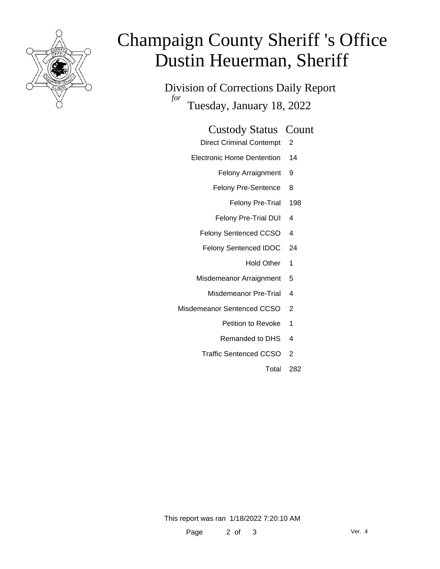

# Champaign County Sheriff 's Office Dustin Heuerman, Sheriff

Division of Corrections Daily Report *for* Tuesday, January 18, 2022

### Custody Status Count

- Direct Criminal Contempt 2
- Electronic Home Dentention 14
	- Felony Arraignment 9
	- Felony Pre-Sentence 8
		- Felony Pre-Trial 198
	- Felony Pre-Trial DUI 4
	- Felony Sentenced CCSO 4
	- Felony Sentenced IDOC 24
		- Hold Other 1
	- Misdemeanor Arraignment 5
		- Misdemeanor Pre-Trial 4
- Misdemeanor Sentenced CCSO 2
	- Petition to Revoke 1
	- Remanded to DHS 4
	- Traffic Sentenced CCSO 2
		- Total 282

This report was ran 1/18/2022 7:20:10 AM